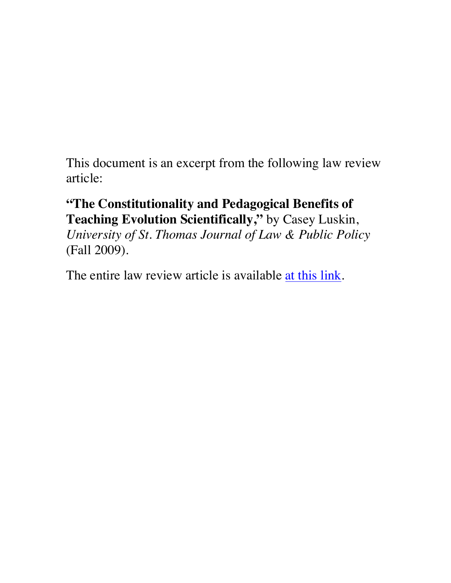This document is an excerpt from the following law review article:

# **"The Constitutionality and Pedagogical Benefits of Teaching Evolution Scientifically, "** by Casey Luskin,

*University of St. Thomas Journal of Law & Public Policy* (Fall 2009).

The entire law review article is available at this link.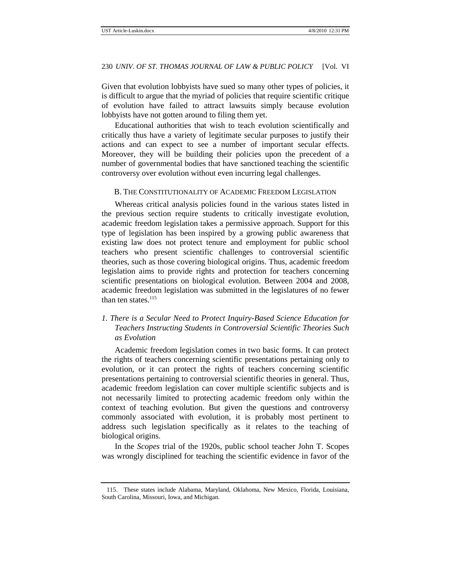Given that evolution lobbyists have sued so many other types of policies, it is difficult to argue that the myriad of policies that require scientific critique of evolution have failed to attract lawsuits simply because evolution lobbyists have not gotten around to filing them yet.

Educational authorities that wish to teach evolution scientifically and critically thus have a variety of legitimate secular purposes to justify their actions and can expect to see a number of important secular effects. Moreover, they will be building their policies upon the precedent of a number of governmental bodies that have sanctioned teaching the scientific controversy over evolution without even incurring legal challenges.

### B. THE CONSTITUTIONALITY OF ACADEMIC FREEDOM LEGISLATION

Whereas critical analysis policies found in the various states listed in the previous section require students to critically investigate evolution, academic freedom legislation takes a permissive approach. Support for this type of legislation has been inspired by a growing public awareness that existing law does not protect tenure and employment for public school teachers who present scientific challenges to controversial scientific theories, such as those covering biological origins. Thus, academic freedom legislation aims to provide rights and protection for teachers concerning scientific presentations on biological evolution. Between 2004 and 2008, academic freedom legislation was submitted in the legislatures of no fewer than ten states. $115$ 

## *1. There is a Secular Need to Protect Inquiry-Based Science Education for Teachers Instructing Students in Controversial Scientific Theories Such as Evolution*

Academic freedom legislation comes in two basic forms. It can protect the rights of teachers concerning scientific presentations pertaining only to evolution, or it can protect the rights of teachers concerning scientific presentations pertaining to controversial scientific theories in general. Thus, academic freedom legislation can cover multiple scientific subjects and is not necessarily limited to protecting academic freedom only within the context of teaching evolution. But given the questions and controversy commonly associated with evolution, it is probably most pertinent to address such legislation specifically as it relates to the teaching of biological origins.

In the *Scopes* trial of the 1920s, public school teacher John T. Scopes was wrongly disciplined for teaching the scientific evidence in favor of the

 <sup>115.</sup> These states include Alabama, Maryland, Oklahoma, New Mexico, Florida, Louisiana, South Carolina, Missouri, Iowa, and Michigan.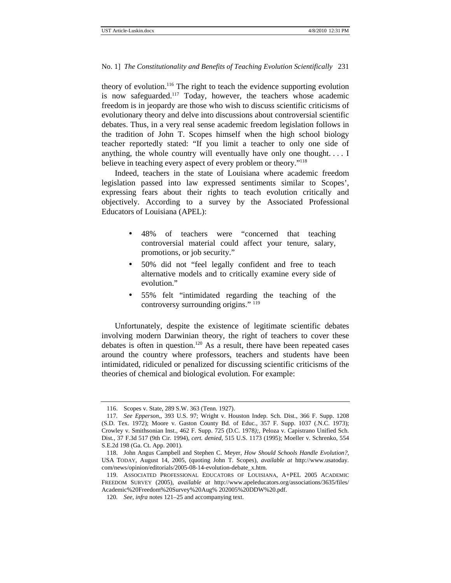#### No. 1] *The Constitutionality and Benefits of Teaching Evolution Scientifically* 231

theory of evolution.<sup>116</sup> The right to teach the evidence supporting evolution is now safeguarded.<sup>117</sup> Today, however, the teachers whose academic freedom is in jeopardy are those who wish to discuss scientific criticisms of evolutionary theory and delve into discussions about controversial scientific debates. Thus, in a very real sense academic freedom legislation follows in the tradition of John T. Scopes himself when the high school biology teacher reportedly stated: "If you limit a teacher to only one side of anything, the whole country will eventually have only one thought. . . . I believe in teaching every aspect of every problem or theory."<sup>118</sup>

Indeed, teachers in the state of Louisiana where academic freedom legislation passed into law expressed sentiments similar to Scopes', expressing fears about their rights to teach evolution critically and objectively. According to a survey by the Associated Professional Educators of Louisiana (APEL):

- 48% of teachers were "concerned that teaching controversial material could affect your tenure, salary, promotions, or job security."
- 50% did not "feel legally confident and free to teach alternative models and to critically examine every side of evolution."
- 55% felt "intimidated regarding the teaching of the controversy surrounding origins." <sup>119</sup>

Unfortunately, despite the existence of legitimate scientific debates involving modern Darwinian theory, the right of teachers to cover these debates is often in question.<sup>120</sup> As a result, there have been repeated cases around the country where professors, teachers and students have been intimidated, ridiculed or penalized for discussing scientific criticisms of the theories of chemical and biological evolution. For example:

 <sup>116.</sup> Scopes v. State*,* 289 S.W. 363 (Tenn. 1927).

<sup>117</sup>*. See Epperson*,, 393 U.S. 97; Wright v. Houston Indep. Sch. Dist*.*, 366 F. Supp. 1208 (S.D. Tex. 1972); Moore v. Gaston County Bd. of Educ*.*, 357 F. Supp. 1037 (.N.C. 1973); Crowley v. Smithsonian Inst., 462 F. Supp. 725 (D.C. 1978*);,* Peloza v. Capistrano Unified Sch. Dist*.*, 37 F.3d 517 (9th Cir. 1994), *cert. denied*, 515 U.S. 1173 (1995); Moeller v. Schrenko, 554 S.E.2d 198 (Ga. Ct. App. 2001).

 <sup>118.</sup> John Angus Campbell and Stephen C. Meyer, *How Should Schools Handle Evolution?*, USA TODAY, August 14, 2005, (quoting John T. Scopes), *available at* http://www.usatoday. com/news/opinion/editorials/2005-08-14-evolution-debate\_x.htm.

 <sup>119.</sup> ASSOCIATED PROFESSIONAL EDUCATORS OF LOUISIANA, A+PEL 2005 ACADEMIC FREEDOM SURVEY (2005), *available at* http://www.apeleducators.org/associations/3635/files/ Academic%20Freedom%20Survey%20Aug% 202005%20DDW%20.pdf.

<sup>120</sup>*. See, infra* notes 121–25 and accompanying text.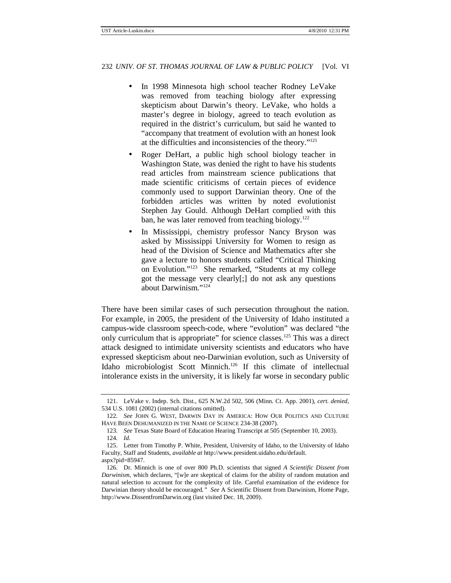- In 1998 Minnesota high school teacher Rodney LeVake was removed from teaching biology after expressing skepticism about Darwin's theory. LeVake, who holds a master's degree in biology, agreed to teach evolution as required in the district's curriculum, but said he wanted to "accompany that treatment of evolution with an honest look at the difficulties and inconsistencies of the theory."<sup>121</sup>
- Roger DeHart, a public high school biology teacher in Washington State, was denied the right to have his students read articles from mainstream science publications that made scientific criticisms of certain pieces of evidence commonly used to support Darwinian theory. One of the forbidden articles was written by noted evolutionist Stephen Jay Gould. Although DeHart complied with this ban, he was later removed from teaching biology.<sup>122</sup>
- In Mississippi, chemistry professor Nancy Bryson was asked by Mississippi University for Women to resign as head of the Division of Science and Mathematics after she gave a lecture to honors students called "Critical Thinking on Evolution."<sup>123</sup> She remarked, "Students at my college got the message very clearly[;] do not ask any questions about Darwinism."<sup>124</sup>

There have been similar cases of such persecution throughout the nation. For example, in 2005, the president of the University of Idaho instituted a campus-wide classroom speech-code, where "evolution" was declared "the only curriculum that is appropriate" for science classes.<sup>125</sup> This was a direct attack designed to intimidate university scientists and educators who have expressed skepticism about neo-Darwinian evolution, such as University of Idaho microbiologist Scott Minnich.<sup>126</sup> If this climate of intellectual intolerance exists in the university, it is likely far worse in secondary public

 <sup>121.</sup> LeVake v. Indep. Sch. Dist., 625 N.W.2d 502, 506 (Minn. Ct. App. 2001), *cert. denied*, 534 U.S. 1081 (2002) (internal citations omitted).

<sup>122</sup>*. See* JOHN G. WEST, DARWIN DAY IN AMERICA: HOW OUR POLITICS AND CULTURE HAVE BEEN DEHUMANIZED IN THE NAME OF SCIENCE 234-38 (2007).

<sup>123</sup>*. See* Texas State Board of Education Hearing Transcript at 505 (September 10, 2003).

<sup>124</sup>*. Id.*

 <sup>125.</sup> Letter from Timothy P. White, President, University of Idaho, to the University of Idaho Faculty, Staff and Students, *available at* http://www.president.uidaho.edu/default. aspx?pid=85947.

 <sup>126.</sup> Dr. Minnich is one of over 800 Ph.D. scientists that signed *A Scientific Dissent from Darwinism*, which declares, "[w]e are skeptical of claims for the ability of random mutation and natural selection to account for the complexity of life. Careful examination of the evidence for Darwinian theory should be encouraged*." See* A Scientific Dissent from Darwinism, Home Page, http://www.DissentfromDarwin.org (last visited Dec. 18, 2009).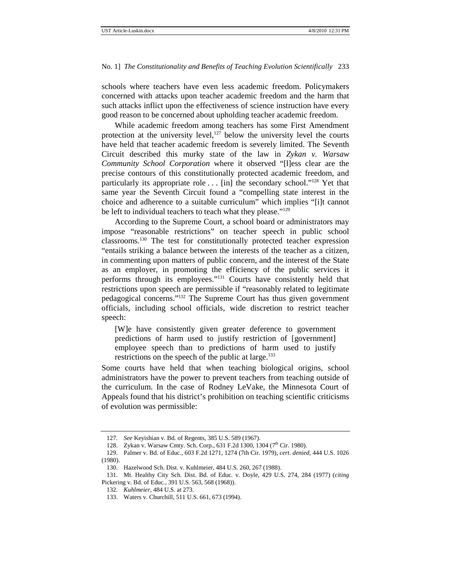#### No. 1] *The Constitutionality and Benefits of Teaching Evolution Scientifically* 233

schools where teachers have even less academic freedom. Policymakers concerned with attacks upon teacher academic freedom and the harm that such attacks inflict upon the effectiveness of science instruction have every good reason to be concerned about upholding teacher academic freedom.

While academic freedom among teachers has some First Amendment protection at the university level, $127$  below the university level the courts have held that teacher academic freedom is severely limited. The Seventh Circuit described this murky state of the law in *Zykan v. Warsaw Community School Corporation* where it observed "[l]ess clear are the precise contours of this constitutionally protected academic freedom, and particularly its appropriate role  $\dots$  [in] the secondary school."<sup>128</sup> Yet that same year the Seventh Circuit found a "compelling state interest in the choice and adherence to a suitable curriculum" which implies "[i]t cannot be left to individual teachers to teach what they please."<sup>129</sup>

According to the Supreme Court, a school board or administrators may impose "reasonable restrictions" on teacher speech in public school classrooms.<sup>130</sup> The test for constitutionally protected teacher expression "entails striking a balance between the interests of the teacher as a citizen, in commenting upon matters of public concern, and the interest of the State as an employer, in promoting the efficiency of the public services it performs through its employees."<sup>131</sup> Courts have consistently held that restrictions upon speech are permissible if "reasonably related to legitimate pedagogical concerns."<sup>132</sup> The Supreme Court has thus given government officials, including school officials, wide discretion to restrict teacher speech:

[W]e have consistently given greater deference to government predictions of harm used to justify restriction of [government] employee speech than to predictions of harm used to justify restrictions on the speech of the public at large.<sup>133</sup>

Some courts have held that when teaching biological origins, school administrators have the power to prevent teachers from teaching outside of the curriculum. In the case of Rodney LeVake, the Minnesota Court of Appeals found that his district's prohibition on teaching scientific criticisms of evolution was permissible:

<sup>127</sup>*. See* Keyishian v. Bd. of Regents, 385 U.S. 589 (1967).

<sup>128.</sup> Zykan v. Warsaw Cmty. Sch. Corp., 631 F.2d 1300, 1304 (7<sup>th</sup> Cir. 1980).

 <sup>129.</sup> Palmer v. Bd. of Educ., 603 F.2d 1271, 1274 (7th Cir. 1979), *cert. denied*, 444 U.S. 1026 (1980).

 <sup>130.</sup> Hazelwood Sch. Dist. v. Kuhlmeier, 484 U.S. 260, 267 (1988).

 <sup>131.</sup> Mt. Healthy City Sch. Dist. Bd. of Educ*.* v*.* Doyle, 429 U.S. 274, 284 (1977) (*citing*  Pickering v. Bd. of Educ*.*, 391 U.S. 563, 568 (1968)).

<sup>132</sup>*. Kuhlmeier*, 484 U.S. at 273.

 <sup>133.</sup> Waters v. Churchill, 511 U.S. 661, 673 (1994).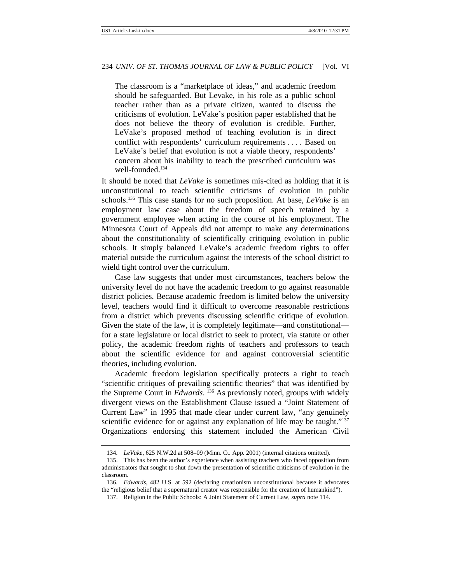The classroom is a "marketplace of ideas," and academic freedom should be safeguarded. But Levake, in his role as a public school teacher rather than as a private citizen, wanted to discuss the criticisms of evolution. LeVake's position paper established that he does not believe the theory of evolution is credible. Further, LeVake's proposed method of teaching evolution is in direct conflict with respondents' curriculum requirements . . . . Based on LeVake's belief that evolution is not a viable theory, respondents' concern about his inability to teach the prescribed curriculum was well-founded.<sup>134</sup>

It should be noted that *LeVake* is sometimes mis-cited as holding that it is unconstitutional to teach scientific criticisms of evolution in public schools.<sup>135</sup> This case stands for no such proposition. At base, *LeVake* is an employment law case about the freedom of speech retained by a government employee when acting in the course of his employment. The Minnesota Court of Appeals did not attempt to make any determinations about the constitutionality of scientifically critiquing evolution in public schools. It simply balanced LeVake's academic freedom rights to offer material outside the curriculum against the interests of the school district to wield tight control over the curriculum.

Case law suggests that under most circumstances, teachers below the university level do not have the academic freedom to go against reasonable district policies. Because academic freedom is limited below the university level, teachers would find it difficult to overcome reasonable restrictions from a district which prevents discussing scientific critique of evolution. Given the state of the law, it is completely legitimate—and constitutional for a state legislature or local district to seek to protect, via statute or other policy, the academic freedom rights of teachers and professors to teach about the scientific evidence for and against controversial scientific theories, including evolution.

Academic freedom legislation specifically protects a right to teach "scientific critiques of prevailing scientific theories" that was identified by the Supreme Court in *Edwards*. <sup>136</sup> As previously noted, groups with widely divergent views on the Establishment Clause issued a "Joint Statement of Current Law" in 1995 that made clear under current law, "any genuinely scientific evidence for or against any explanation of life may be taught."<sup>137</sup> Organizations endorsing this statement included the American Civil

<sup>134</sup>*. LeVake*, 625 N.W.2d at 508–09 (Minn. Ct. App. 2001) (internal citations omitted).

 <sup>135.</sup> This has been the author's experience when assisting teachers who faced opposition from administrators that sought to shut down the presentation of scientific criticisms of evolution in the classroom.

<sup>136</sup>*. Edwards*, 482 U.S. at 592 (declaring creationism unconstitutional because it advocates the "religious belief that a supernatural creator was responsible for the creation of humankind").

 <sup>137.</sup> Religion in the Public Schools: A Joint Statement of Current Law, *supra* note 114.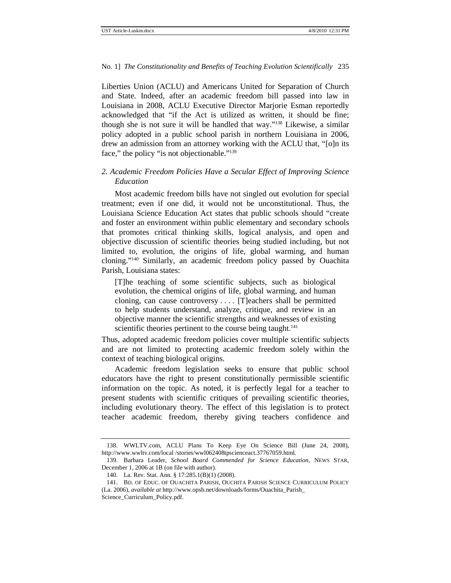#### No. 1] *The Constitutionality and Benefits of Teaching Evolution Scientifically* 235

Liberties Union (ACLU) and Americans United for Separation of Church and State. Indeed, after an academic freedom bill passed into law in Louisiana in 2008, ACLU Executive Director Marjorie Esman reportedly acknowledged that "if the Act is utilized as written, it should be fine; though she is not sure it will be handled that way." <sup>138</sup> Likewise, a similar policy adopted in a public school parish in northern Louisiana in 2006, drew an admission from an attorney working with the ACLU that, "[o]n its face," the policy "is not objectionable."<sup>139</sup>

## *2. Academic Freedom Policies Have a Secular Effect of Improving Science Education*

Most academic freedom bills have not singled out evolution for special treatment; even if one did, it would not be unconstitutional. Thus, the Louisiana Science Education Act states that public schools should "create and foster an environment within public elementary and secondary schools that promotes critical thinking skills, logical analysis, and open and objective discussion of scientific theories being studied including, but not limited to, evolution, the origins of life, global warming, and human cloning."<sup>140</sup> Similarly, an academic freedom policy passed by Ouachita Parish, Louisiana states:

[T]he teaching of some scientific subjects, such as biological evolution, the chemical origins of life, global warming, and human cloning, can cause controversy . . . . [T]eachers shall be permitted to help students understand, analyze, critique, and review in an objective manner the scientific strengths and weaknesses of existing scientific theories pertinent to the course being taught.<sup>141</sup>

Thus, adopted academic freedom policies cover multiple scientific subjects and are not limited to protecting academic freedom solely within the context of teaching biological origins.

Academic freedom legislation seeks to ensure that public school educators have the right to present constitutionally permissible scientific information on the topic. As noted, it is perfectly legal for a teacher to present students with scientific critiques of prevailing scientific theories, including evolutionary theory. The effect of this legislation is to protect teacher academic freedom, thereby giving teachers confidence and

 <sup>138.</sup> WWLTV.com, ACLU Plans To Keep Eye On Science Bill (June 24, 2008), http://www.wwltv.com/local /stories/wwl062408tpscienceact.37767059.html.

 <sup>139.</sup> Barbara Leader, *School Board Commended for Science Education*, NEWS STAR, December 1, 2006 at 1B (on file with author).

 <sup>140.</sup> La. Rev. Stat. Ann. § 17:285.1(B)(1) (2008).

 <sup>141.</sup> BD. OF EDUC. OF OUACHITA PARISH, OUCHITA PARISH SCIENCE CURRICULUM POLICY (La. 2006), *available at* http://www.opsb.net/downloads/forms/Ouachita\_Parish\_ Science\_Curriculum\_Policy.pdf.